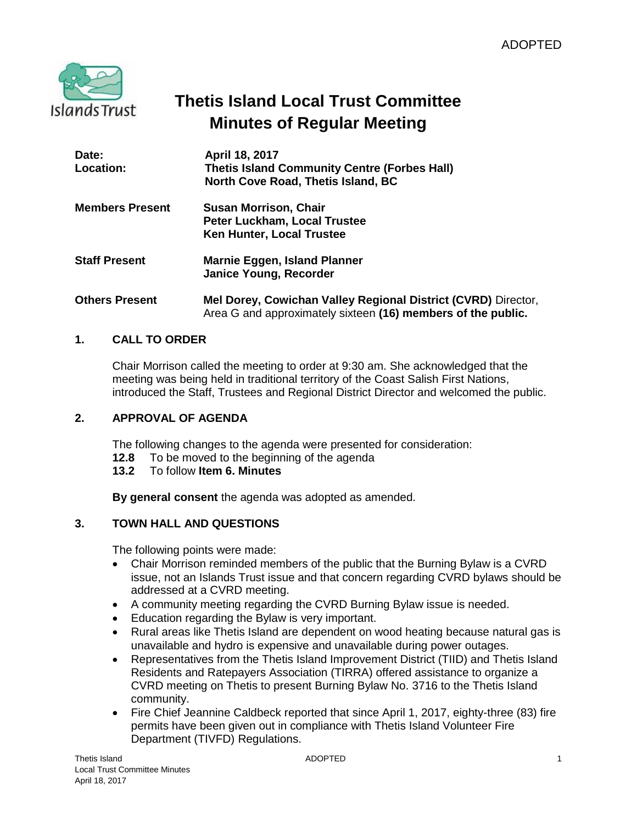

# **Thetis Island Local Trust Committee Minutes of Regular Meeting**

| Date:<br>Location:     | April 18, 2017<br><b>Thetis Island Community Centre (Forbes Hall)</b><br>North Cove Road, Thetis Island, BC                   |
|------------------------|-------------------------------------------------------------------------------------------------------------------------------|
| <b>Members Present</b> | <b>Susan Morrison, Chair</b><br>Peter Luckham, Local Trustee<br>Ken Hunter, Local Trustee                                     |
| <b>Staff Present</b>   | Marnie Eggen, Island Planner<br><b>Janice Young, Recorder</b>                                                                 |
| <b>Others Present</b>  | Mel Dorey, Cowichan Valley Regional District (CVRD) Director,<br>Area G and approximately sixteen (16) members of the public. |

# **1. CALL TO ORDER**

Chair Morrison called the meeting to order at 9:30 am. She acknowledged that the meeting was being held in traditional territory of the Coast Salish First Nations, introduced the Staff, Trustees and Regional District Director and welcomed the public.

# **2. APPROVAL OF AGENDA**

The following changes to the agenda were presented for consideration:

- **12.8** To be moved to the beginning of the agenda
- **13.2** To follow **Item 6. Minutes**

**By general consent** the agenda was adopted as amended.

# **3. TOWN HALL AND QUESTIONS**

The following points were made:

- Chair Morrison reminded members of the public that the Burning Bylaw is a CVRD issue, not an Islands Trust issue and that concern regarding CVRD bylaws should be addressed at a CVRD meeting.
- A community meeting regarding the CVRD Burning Bylaw issue is needed.
- **Education regarding the Bylaw is very important.**
- Rural areas like Thetis Island are dependent on wood heating because natural gas is unavailable and hydro is expensive and unavailable during power outages.
- Representatives from the Thetis Island Improvement District (TIID) and Thetis Island Residents and Ratepayers Association (TIRRA) offered assistance to organize a CVRD meeting on Thetis to present Burning Bylaw No. 3716 to the Thetis Island community.
- Fire Chief Jeannine Caldbeck reported that since April 1, 2017, eighty-three (83) fire permits have been given out in compliance with Thetis Island Volunteer Fire Department (TIVFD) Regulations.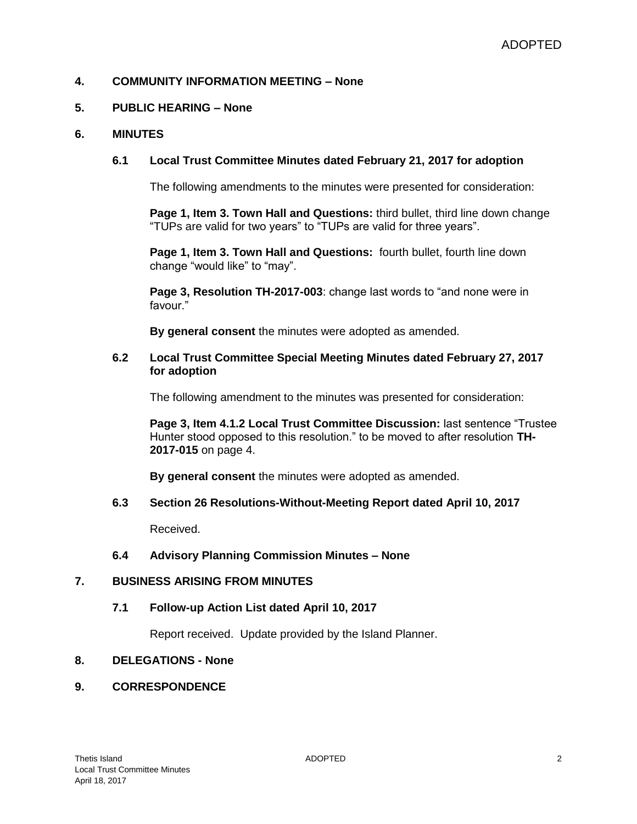# **4. COMMUNITY INFORMATION MEETING – None**

#### **5. PUBLIC HEARING – None**

#### **6. MINUTES**

## **6.1 Local Trust Committee Minutes dated February 21, 2017 for adoption**

The following amendments to the minutes were presented for consideration:

**Page 1, Item 3. Town Hall and Questions:** third bullet, third line down change "TUPs are valid for two years" to "TUPs are valid for three years".

**Page 1, Item 3. Town Hall and Questions:** fourth bullet, fourth line down change "would like" to "may".

**Page 3, Resolution TH-2017-003**: change last words to "and none were in favour."

**By general consent** the minutes were adopted as amended.

#### **6.2 Local Trust Committee Special Meeting Minutes dated February 27, 2017 for adoption**

The following amendment to the minutes was presented for consideration:

**Page 3, Item 4.1.2 Local Trust Committee Discussion:** last sentence "Trustee Hunter stood opposed to this resolution." to be moved to after resolution **TH-2017-015** on page 4.

**By general consent** the minutes were adopted as amended.

#### **6.3 Section 26 Resolutions-Without-Meeting Report dated April 10, 2017**

Received.

#### **6.4 Advisory Planning Commission Minutes – None**

#### **7. BUSINESS ARISING FROM MINUTES**

## **7.1 Follow-up Action List dated April 10, 2017**

Report received. Update provided by the Island Planner.

## **8. DELEGATIONS - None**

## **9. CORRESPONDENCE**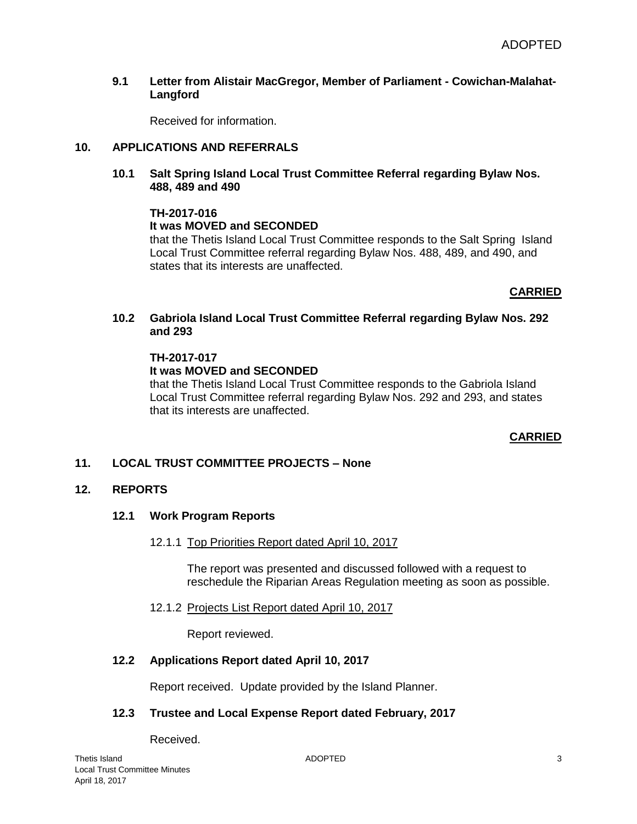#### **9.1 Letter from Alistair MacGregor, Member of Parliament - Cowichan-Malahat-Langford**

Received for information.

# **10. APPLICATIONS AND REFERRALS**

#### **10.1 Salt Spring Island Local Trust Committee Referral regarding Bylaw Nos. 488, 489 and 490**

#### **TH-2017-016**

## **It was MOVED and SECONDED**

that the Thetis Island Local Trust Committee responds to the Salt Spring Island Local Trust Committee referral regarding Bylaw Nos. 488, 489, and 490, and states that its interests are unaffected.

## **CARRIED**

## **10.2 Gabriola Island Local Trust Committee Referral regarding Bylaw Nos. 292 and 293**

#### **TH-2017-017**

#### **It was MOVED and SECONDED**

that the Thetis Island Local Trust Committee responds to the Gabriola Island Local Trust Committee referral regarding Bylaw Nos. 292 and 293, and states that its interests are unaffected.

## **CARRIED**

## **11. LOCAL TRUST COMMITTEE PROJECTS – None**

## **12. REPORTS**

## **12.1 Work Program Reports**

#### 12.1.1 Top Priorities Report dated April 10, 2017

The report was presented and discussed followed with a request to reschedule the Riparian Areas Regulation meeting as soon as possible.

## 12.1.2 Projects List Report dated April 10, 2017

Report reviewed.

## **12.2 Applications Report dated April 10, 2017**

Report received. Update provided by the Island Planner.

# **12.3 Trustee and Local Expense Report dated February, 2017**

Received.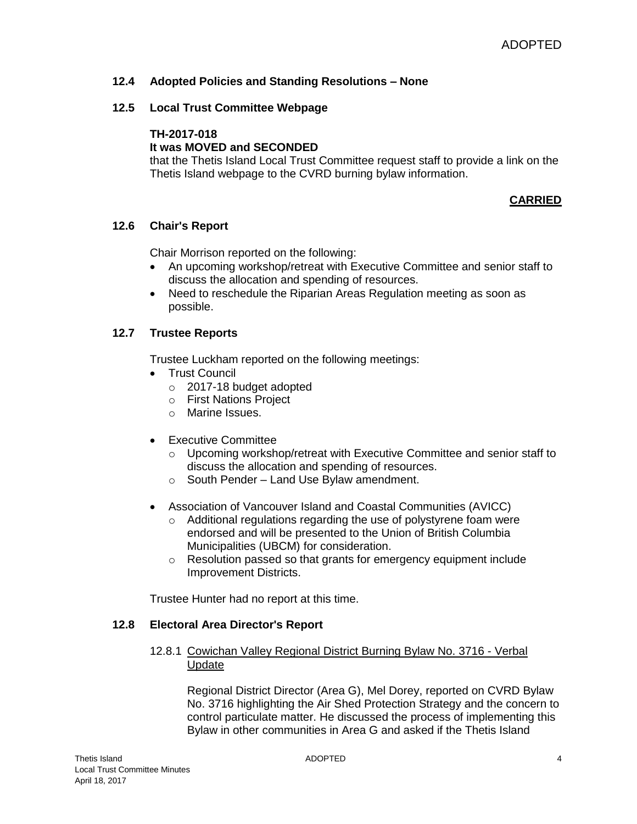# **12.4 Adopted Policies and Standing Resolutions – None**

## **12.5 Local Trust Committee Webpage**

#### **TH-2017-018**

# **It was MOVED and SECONDED**

that the Thetis Island Local Trust Committee request staff to provide a link on the Thetis Island webpage to the CVRD burning bylaw information.

## **CARRIED**

## **12.6 Chair's Report**

Chair Morrison reported on the following:

- An upcoming workshop/retreat with Executive Committee and senior staff to discuss the allocation and spending of resources.
- Need to reschedule the Riparian Areas Regulation meeting as soon as possible.

## **12.7 Trustee Reports**

Trustee Luckham reported on the following meetings:

- Trust Council
	- o 2017-18 budget adopted
	- o First Nations Project
	- o Marine Issues.
- Executive Committee
	- $\circ$  Upcoming workshop/retreat with Executive Committee and senior staff to discuss the allocation and spending of resources.
	- o South Pender Land Use Bylaw amendment.
- Association of Vancouver Island and Coastal Communities (AVICC)
	- o Additional regulations regarding the use of polystyrene foam were endorsed and will be presented to the Union of British Columbia Municipalities (UBCM) for consideration.
	- o Resolution passed so that grants for emergency equipment include Improvement Districts.

Trustee Hunter had no report at this time.

#### **12.8 Electoral Area Director's Report**

## 12.8.1 Cowichan Valley Regional District Burning Bylaw No. 3716 - Verbal Update

Regional District Director (Area G), Mel Dorey, reported on CVRD Bylaw No. 3716 highlighting the Air Shed Protection Strategy and the concern to control particulate matter. He discussed the process of implementing this Bylaw in other communities in Area G and asked if the Thetis Island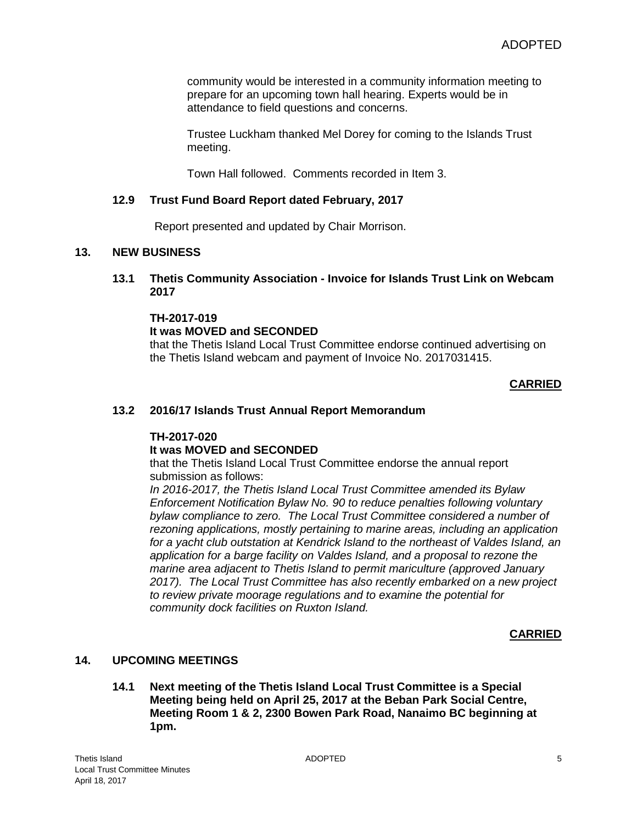community would be interested in a community information meeting to prepare for an upcoming town hall hearing. Experts would be in attendance to field questions and concerns.

Trustee Luckham thanked Mel Dorey for coming to the Islands Trust meeting.

Town Hall followed. Comments recorded in Item 3.

# **12.9 Trust Fund Board Report dated February, 2017**

Report presented and updated by Chair Morrison.

#### **13. NEW BUSINESS**

**13.1 Thetis Community Association - Invoice for Islands Trust Link on Webcam 2017**

#### **TH-2017-019**

## **It was MOVED and SECONDED**

that the Thetis Island Local Trust Committee endorse continued advertising on the Thetis Island webcam and payment of Invoice No. 2017031415.

# **CARRIED**

## **13.2 2016/17 Islands Trust Annual Report Memorandum**

## **TH-2017-020**

## **It was MOVED and SECONDED**

that the Thetis Island Local Trust Committee endorse the annual report submission as follows:

*In 2016-2017, the Thetis Island Local Trust Committee amended its Bylaw Enforcement Notification Bylaw No. 90 to reduce penalties following voluntary bylaw compliance to zero. The Local Trust Committee considered a number of rezoning applications, mostly pertaining to marine areas, including an application for a yacht club outstation at Kendrick Island to the northeast of Valdes Island, an application for a barge facility on Valdes Island, and a proposal to rezone the marine area adjacent to Thetis Island to permit mariculture (approved January 2017). The Local Trust Committee has also recently embarked on a new project to review private moorage regulations and to examine the potential for community dock facilities on Ruxton Island.*

## **CARRIED**

# **14. UPCOMING MEETINGS**

**14.1 Next meeting of the Thetis Island Local Trust Committee is a Special Meeting being held on April 25, 2017 at the Beban Park Social Centre, Meeting Room 1 & 2, 2300 Bowen Park Road, Nanaimo BC beginning at 1pm.**